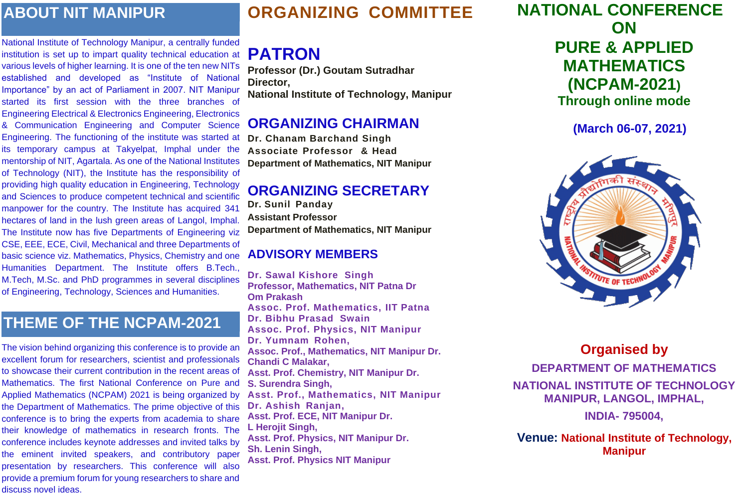# **ORGANIZING COMMITTEE**

# **PATRON**

**Professor (Dr.) Goutam Sutradhar Director, National Institute of Technology, Manipur**

### **ORGANIZING CHAIRMAN**

**Dr. Chanam Barchand Singh Associate Professor & Head Department of Mathematics, NIT Manipur**

## **ORGANIZING SECRETARY**

**Dr. Sunil Panday Assistant Professor Department of Mathematics, NIT Manipur**

#### **ADVISORY MEMBERS**

**Dr. Sawal Kishore Singh Professor, Mathematics, NIT Patna Dr Om Prakash Assoc. Prof. Mathematics, IIT Patna Dr. Bibhu Prasad Swain Assoc. Prof. Physics, NIT Manipur Dr. Yumnam Rohen, Assoc. Prof., Mathematics, NIT Manipur Dr. Chandi C Malakar, Asst. Prof. Chemistry, NIT Manipur Dr. S. Surendra Singh, Asst. Prof., Mathematics, NIT Manipur Dr. Ashish Ranjan, Asst. Prof. ECE, NIT Manipur Dr. L Herojit Singh, Asst. Prof. Physics, NIT Manipur Dr. Sh. Lenin Singh, Asst. Prof. Physics NIT Manipur**

## **NATIONAL CONFERENCE ON PURE & APPLIED MATHEMATICS (NCPAM-2021) Through online mode**

**(March 06-07, 2021)**



**Organised by DEPARTMENT OF MATHEMATICS NATIONAL INSTITUTE OF TECHNOLOGY MANIPUR, LANGOL, IMPHAL, INDIA- 795004,**

**Venue: National Institute of Technology, Manipur**

## **ABOUT NIT MANIPUR**

National Institute of Technology Manipur, a centrally funded institution is set up to impart quality technical education at various levels of higher learning. It is one of the ten new NITs established and developed as "Institute of National Importance" by an act of Parliament in 2007. NIT Manipur started its first session with the three branches of Engineering Electrical & Electronics Engineering, Electronics & Communication Engineering and Computer Science Engineering. The functioning of the institute was started at its temporary campus at Takyelpat, Imphal under the mentorship of NIT, Agartala. As one of the National Institutes of Technology (NIT), the Institute has the responsibility of providing high quality education in Engineering, Technology and Sciences to produce competent technical and scientific manpower for the country. The Institute has acquired 341 hectares of land in the lush green areas of Langol, Imphal. The Institute now has five Departments of Engineering viz CSE, EEE, ECE, Civil, Mechanical and three Departments of basic science viz. Mathematics, Physics, Chemistry and one Humanities Department. The Institute offers B.Tech., M.Tech, M.Sc. and PhD programmes in several disciplines of Engineering, Technology, Sciences and Humanities.

## **THEME OF THE NCPAM-2021**

The vision behind organizing this conference is to provide an excellent forum for researchers, scientist and professionals to showcase their current contribution in the recent areas of Mathematics. The first National Conference on Pure and Applied Mathematics (NCPAM) 2021 is being organized by the Department of Mathematics. The prime objective of this conference is to bring the experts from academia to share their knowledge of mathematics in research fronts. The conference includes keynote addresses and invited talks by the eminent invited speakers, and contributory paper presentation by researchers. This conference will also provide a premium forum for young researchers to share and discuss novel ideas.